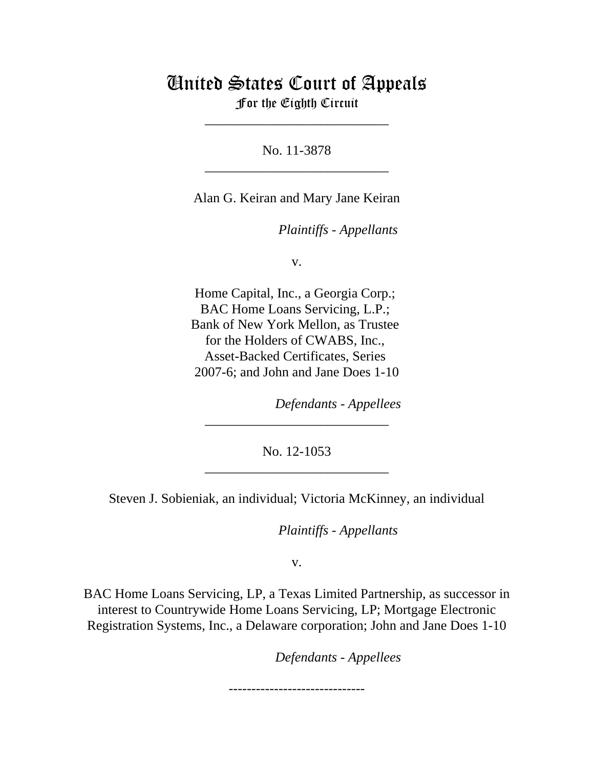# United States Court of Appeals For the Eighth Circuit

\_\_\_\_\_\_\_\_\_\_\_\_\_\_\_\_\_\_\_\_\_\_\_\_\_\_\_

No. 11-3878 \_\_\_\_\_\_\_\_\_\_\_\_\_\_\_\_\_\_\_\_\_\_\_\_\_\_\_

Alan G. Keiran and Mary Jane Keiran

*Plaintiffs - Appellants* 

v.

Home Capital, Inc., a Georgia Corp.; BAC Home Loans Servicing, L.P.; Bank of New York Mellon, as Trustee for the Holders of CWABS, Inc., Asset-Backed Certificates, Series 2007-6; and John and Jane Does 1-10

lllllllllllllllllllll *Defendants - Appellees*

No. 12-1053 \_\_\_\_\_\_\_\_\_\_\_\_\_\_\_\_\_\_\_\_\_\_\_\_\_\_\_

\_\_\_\_\_\_\_\_\_\_\_\_\_\_\_\_\_\_\_\_\_\_\_\_\_\_\_

Steven J. Sobieniak, an individual; Victoria McKinney, an individual

*Plaintiffs - Appellants* 

v.

BAC Home Loans Servicing, LP, a Texas Limited Partnership, as successor in interest to Countrywide Home Loans Servicing, LP; Mortgage Electronic Registration Systems, Inc., a Delaware corporation; John and Jane Does 1-10

lllllllllllllllllllll *Defendants - Appellees*

------------------------------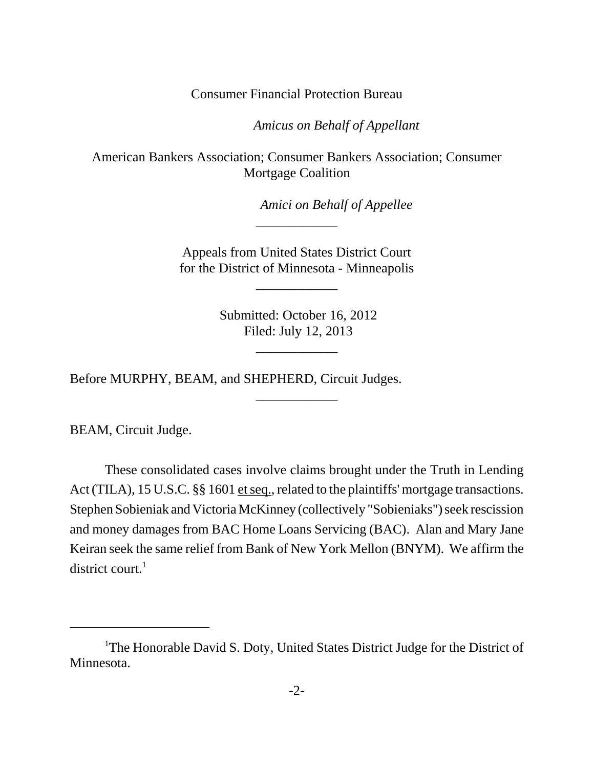Consumer Financial Protection Bureau

Amicus on Behalf of Appellant

American Bankers Association; Consumer Bankers Association; Consumer Mortgage Coalition

Amici on Behalf of Appellee

 Appeals from United States District Court for the District of Minnesota - Minneapolis

\_\_\_\_\_\_\_\_\_\_\_\_

\_\_\_\_\_\_\_\_\_\_\_\_

 Submitted: October 16, 2012 Filed: July 12, 2013

\_\_\_\_\_\_\_\_\_\_\_\_

\_\_\_\_\_\_\_\_\_\_\_\_

Before MURPHY, BEAM, and SHEPHERD, Circuit Judges.

BEAM, Circuit Judge.

These consolidated cases involve claims brought under the Truth in Lending Act (TILA), 15 U.S.C. §§ 1601 et seq., related to the plaintiffs' mortgage transactions. Stephen Sobieniak and Victoria McKinney (collectively "Sobieniaks") seek rescission and money damages from BAC Home Loans Servicing (BAC). Alan and Mary Jane Keiran seek the same relief from Bank of New York Mellon (BNYM). We affirm the district court. $<sup>1</sup>$ </sup>

<sup>&</sup>lt;sup>1</sup>The Honorable David S. Doty, United States District Judge for the District of Minnesota.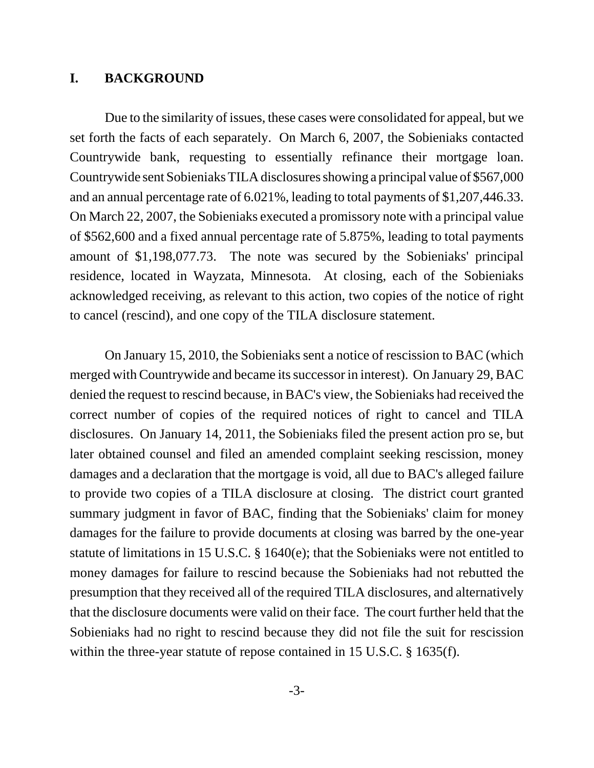### **I. BACKGROUND**

Due to the similarity of issues, these cases were consolidated for appeal, but we set forth the facts of each separately. On March 6, 2007, the Sobieniaks contacted Countrywide bank, requesting to essentially refinance their mortgage loan. Countrywide sent Sobieniaks TILA disclosures showing a principal value of \$567,000 and an annual percentage rate of 6.021%, leading to total payments of \$1,207,446.33. On March 22, 2007, the Sobieniaks executed a promissory note with a principal value of \$562,600 and a fixed annual percentage rate of 5.875%, leading to total payments amount of \$1,198,077.73. The note was secured by the Sobieniaks' principal residence, located in Wayzata, Minnesota. At closing, each of the Sobieniaks acknowledged receiving, as relevant to this action, two copies of the notice of right to cancel (rescind), and one copy of the TILA disclosure statement.

On January 15, 2010, the Sobieniaks sent a notice of rescission to BAC (which merged with Countrywide and became its successor in interest). On January 29, BAC denied the request to rescind because, in BAC's view, the Sobieniaks had received the correct number of copies of the required notices of right to cancel and TILA disclosures. On January 14, 2011, the Sobieniaks filed the present action pro se, but later obtained counsel and filed an amended complaint seeking rescission, money damages and a declaration that the mortgage is void, all due to BAC's alleged failure to provide two copies of a TILA disclosure at closing. The district court granted summary judgment in favor of BAC, finding that the Sobieniaks' claim for money damages for the failure to provide documents at closing was barred by the one-year statute of limitations in 15 U.S.C. § 1640(e); that the Sobieniaks were not entitled to money damages for failure to rescind because the Sobieniaks had not rebutted the presumption that they received all of the required TILA disclosures, and alternatively that the disclosure documents were valid on their face. The court further held that the Sobieniaks had no right to rescind because they did not file the suit for rescission within the three-year statute of repose contained in 15 U.S.C. § 1635(f).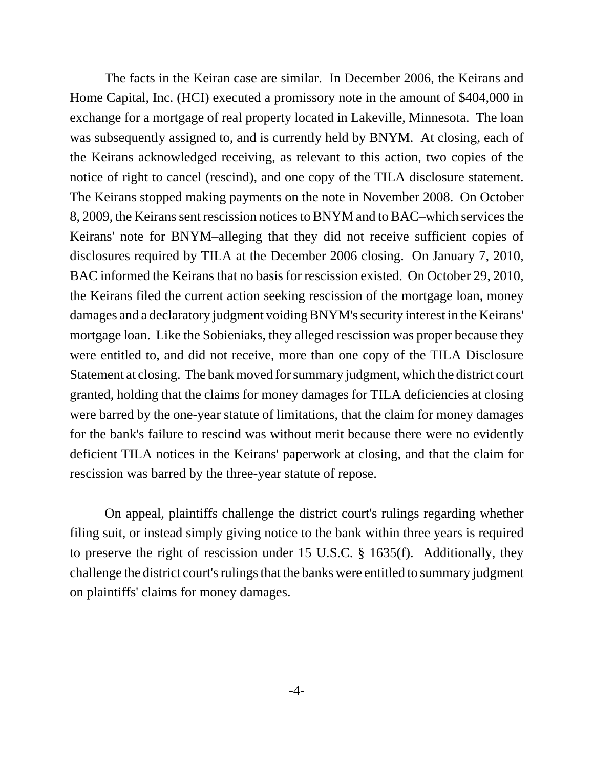The facts in the Keiran case are similar. In December 2006, the Keirans and Home Capital, Inc. (HCI) executed a promissory note in the amount of \$404,000 in exchange for a mortgage of real property located in Lakeville, Minnesota. The loan was subsequently assigned to, and is currently held by BNYM. At closing, each of the Keirans acknowledged receiving, as relevant to this action, two copies of the notice of right to cancel (rescind), and one copy of the TILA disclosure statement. The Keirans stopped making payments on the note in November 2008. On October 8, 2009, the Keirans sent rescission notices to BNYM and to BAC–which services the Keirans' note for BNYM–alleging that they did not receive sufficient copies of disclosures required by TILA at the December 2006 closing. On January 7, 2010, BAC informed the Keirans that no basis for rescission existed. On October 29, 2010, the Keirans filed the current action seeking rescission of the mortgage loan, money damages and a declaratory judgment voiding BNYM's security interest in the Keirans' mortgage loan. Like the Sobieniaks, they alleged rescission was proper because they were entitled to, and did not receive, more than one copy of the TILA Disclosure Statement at closing. The bank moved for summary judgment, which the district court granted, holding that the claims for money damages for TILA deficiencies at closing were barred by the one-year statute of limitations, that the claim for money damages for the bank's failure to rescind was without merit because there were no evidently deficient TILA notices in the Keirans' paperwork at closing, and that the claim for rescission was barred by the three-year statute of repose.

On appeal, plaintiffs challenge the district court's rulings regarding whether filing suit, or instead simply giving notice to the bank within three years is required to preserve the right of rescission under 15 U.S.C. § 1635(f). Additionally, they challenge the district court's rulings that the banks were entitled to summary judgment on plaintiffs' claims for money damages.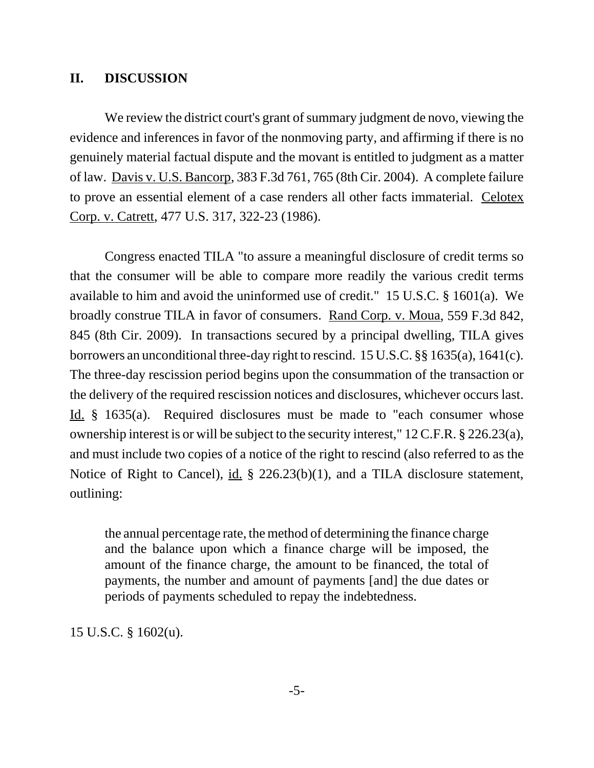# **II. DISCUSSION**

We review the district court's grant of summary judgment de novo, viewing the evidence and inferences in favor of the nonmoving party, and affirming if there is no genuinely material factual dispute and the movant is entitled to judgment as a matter of law. Davis v. U.S. Bancorp, 383 F.3d 761, 765 (8th Cir. 2004). A complete failure to prove an essential element of a case renders all other facts immaterial. Celotex Corp. v. Catrett, 477 U.S. 317, 322-23 (1986).

Congress enacted TILA "to assure a meaningful disclosure of credit terms so that the consumer will be able to compare more readily the various credit terms available to him and avoid the uninformed use of credit." 15 U.S.C. § 1601(a). We broadly construe TILA in favor of consumers. Rand Corp. v. Moua, 559 F.3d 842, 845 (8th Cir. 2009). In transactions secured by a principal dwelling, TILA gives borrowers an unconditional three-day right to rescind. 15 U.S.C. §§ 1635(a), 1641(c). The three-day rescission period begins upon the consummation of the transaction or the delivery of the required rescission notices and disclosures, whichever occurs last. Id. § 1635(a). Required disclosures must be made to "each consumer whose ownership interest is or will be subject to the security interest," 12 C.F.R. § 226.23(a), and must include two copies of a notice of the right to rescind (also referred to as the Notice of Right to Cancel), id. § 226.23(b)(1), and a TILA disclosure statement, outlining:

the annual percentage rate, the method of determining the finance charge and the balance upon which a finance charge will be imposed, the amount of the finance charge, the amount to be financed, the total of payments, the number and amount of payments [and] the due dates or periods of payments scheduled to repay the indebtedness.

15 U.S.C. § 1602(u).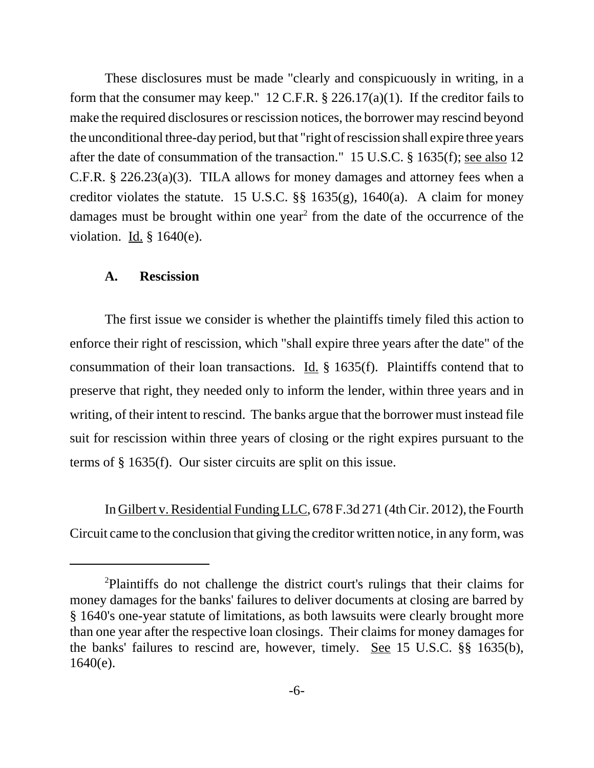These disclosures must be made "clearly and conspicuously in writing, in a form that the consumer may keep." 12 C.F.R. § 226.17(a)(1). If the creditor fails to make the required disclosures or rescission notices, the borrower may rescind beyond the unconditional three-day period, but that "right of rescission shall expire three years after the date of consummation of the transaction." 15 U.S.C. § 1635(f); see also 12 C.F.R. § 226.23(a)(3). TILA allows for money damages and attorney fees when a creditor violates the statute. 15 U.S.C.  $\S$ § 1635(g), 1640(a). A claim for money damages must be brought within one year<sup>2</sup> from the date of the occurrence of the violation.  $\underline{Id.}$  § 1640(e).

#### **A. Rescission**

The first issue we consider is whether the plaintiffs timely filed this action to enforce their right of rescission, which "shall expire three years after the date" of the consummation of their loan transactions. <u>Id.</u>  $\S$  1635(f). Plaintiffs contend that to preserve that right, they needed only to inform the lender, within three years and in writing, of their intent to rescind. The banks argue that the borrower must instead file suit for rescission within three years of closing or the right expires pursuant to the terms of § 1635(f). Our sister circuits are split on this issue.

In Gilbert v. Residential Funding LLC, 678 F.3d 271 (4th Cir. 2012), the Fourth Circuit came to the conclusion that giving the creditor written notice, in any form, was

<sup>2</sup> Plaintiffs do not challenge the district court's rulings that their claims for money damages for the banks' failures to deliver documents at closing are barred by § 1640's one-year statute of limitations, as both lawsuits were clearly brought more than one year after the respective loan closings. Their claims for money damages for the banks' failures to rescind are, however, timely. See 15 U.S.C. §§ 1635(b), 1640(e).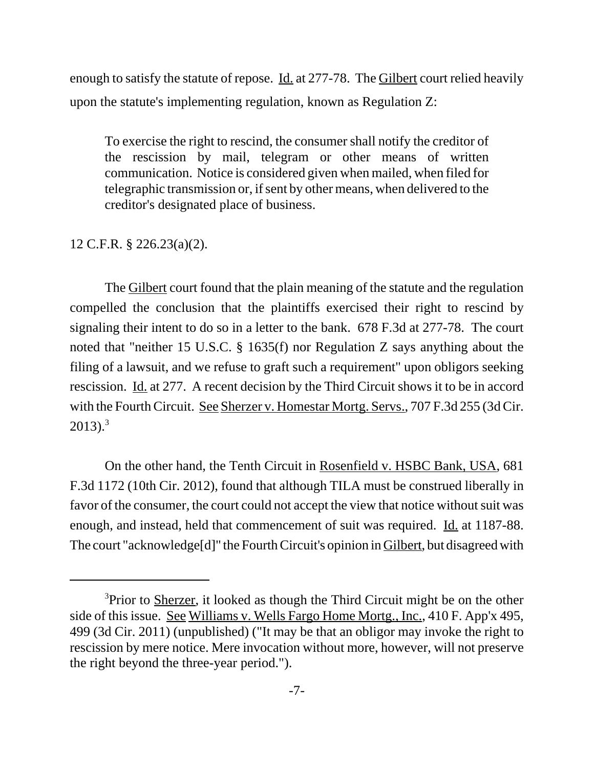enough to satisfy the statute of repose. Id. at 277-78. The Gilbert court relied heavily upon the statute's implementing regulation, known as Regulation Z:

To exercise the right to rescind, the consumer shall notify the creditor of the rescission by mail, telegram or other means of written communication. Notice is considered given when mailed, when filed for telegraphic transmission or, if sent by other means, when delivered to the creditor's designated place of business.

# 12 C.F.R. § 226.23(a)(2).

The Gilbert court found that the plain meaning of the statute and the regulation compelled the conclusion that the plaintiffs exercised their right to rescind by signaling their intent to do so in a letter to the bank. 678 F.3d at 277-78. The court noted that "neither 15 U.S.C. § 1635(f) nor Regulation Z says anything about the filing of a lawsuit, and we refuse to graft such a requirement" upon obligors seeking rescission. Id. at 277. A recent decision by the Third Circuit shows it to be in accord with the Fourth Circuit. See Sherzer v. Homestar Mortg. Servs., 707 F.3d 255 (3d Cir.  $2013$ ).<sup>3</sup>

On the other hand, the Tenth Circuit in Rosenfield v. HSBC Bank, USA, 681 F.3d 1172 (10th Cir. 2012), found that although TILA must be construed liberally in favor of the consumer, the court could not accept the view that notice without suit was enough, and instead, held that commencement of suit was required. Id. at 1187-88. The court "acknowledge[d]" the Fourth Circuit's opinion in Gilbert, but disagreed with

<sup>&</sup>lt;sup>3</sup>Prior to **Sherzer**, it looked as though the Third Circuit might be on the other side of this issue. See Williams v. Wells Fargo Home Mortg., Inc., 410 F. App'x 495, 499 (3d Cir. 2011) (unpublished) ("It may be that an obligor may invoke the right to rescission by mere notice. Mere invocation without more, however, will not preserve the right beyond the three-year period.").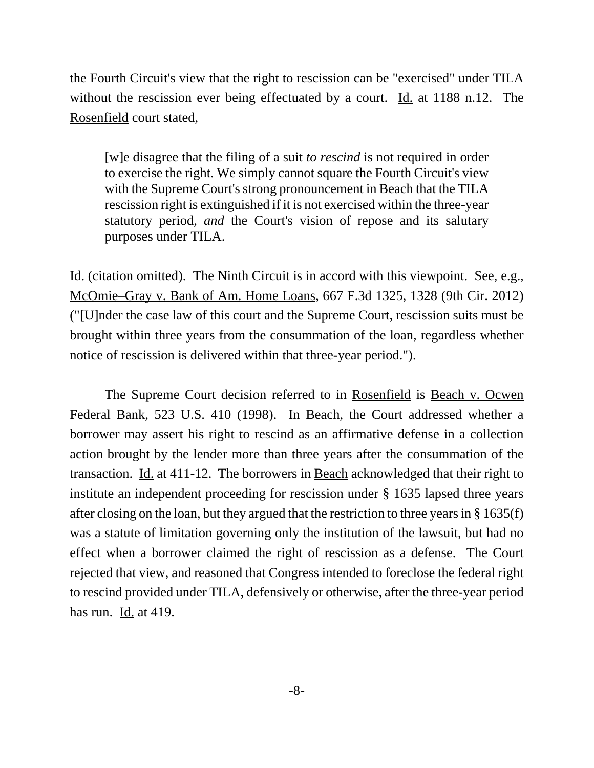the Fourth Circuit's view that the right to rescission can be "exercised" under TILA without the rescission ever being effectuated by a court. Id. at 1188 n.12. The Rosenfield court stated,

[w]e disagree that the filing of a suit *to rescind* is not required in order to exercise the right. We simply cannot square the Fourth Circuit's view with the Supreme Court's strong pronouncement in Beach that the TILA rescission right is extinguished if it is not exercised within the three-year statutory period, *and* the Court's vision of repose and its salutary purposes under TILA.

Id. (citation omitted). The Ninth Circuit is in accord with this viewpoint. See, e.g., McOmie–Gray v. Bank of Am. Home Loans, 667 F.3d 1325, 1328 (9th Cir. 2012) ("[U]nder the case law of this court and the Supreme Court, rescission suits must be brought within three years from the consummation of the loan, regardless whether notice of rescission is delivered within that three-year period.").

The Supreme Court decision referred to in Rosenfield is Beach v. Ocwen Federal Bank, 523 U.S. 410 (1998). In Beach, the Court addressed whether a borrower may assert his right to rescind as an affirmative defense in a collection action brought by the lender more than three years after the consummation of the transaction. Id. at 411-12. The borrowers in Beach acknowledged that their right to institute an independent proceeding for rescission under § 1635 lapsed three years after closing on the loan, but they argued that the restriction to three years in § 1635(f) was a statute of limitation governing only the institution of the lawsuit, but had no effect when a borrower claimed the right of rescission as a defense. The Court rejected that view, and reasoned that Congress intended to foreclose the federal right to rescind provided under TILA, defensively or otherwise, after the three-year period has run. Id. at 419.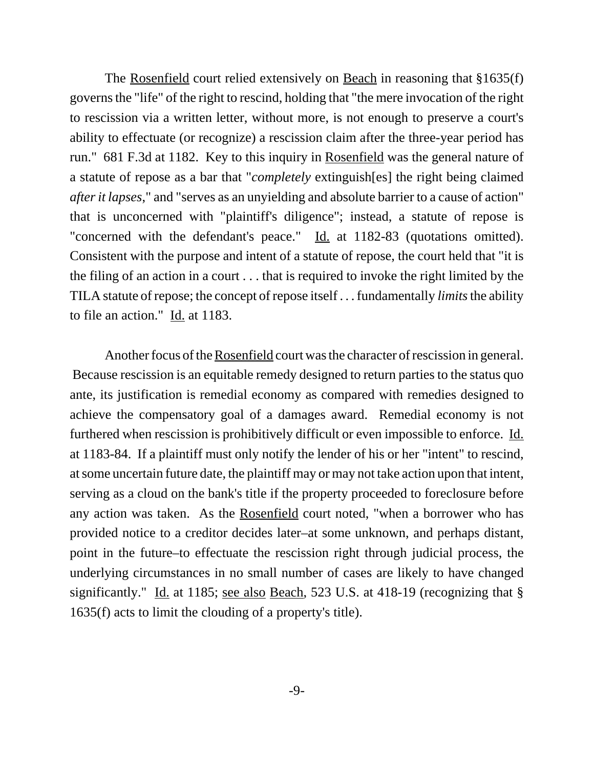The Rosenfield court relied extensively on Beach in reasoning that §1635(f) governs the "life" of the right to rescind, holding that "the mere invocation of the right to rescission via a written letter, without more, is not enough to preserve a court's ability to effectuate (or recognize) a rescission claim after the three-year period has run." 681 F.3d at 1182. Key to this inquiry in Rosenfield was the general nature of a statute of repose as a bar that "*completely* extinguish[es] the right being claimed *after it lapses*," and "serves as an unyielding and absolute barrier to a cause of action" that is unconcerned with "plaintiff's diligence"; instead, a statute of repose is "concerned with the defendant's peace." Id. at 1182-83 (quotations omitted). Consistent with the purpose and intent of a statute of repose, the court held that "it is the filing of an action in a court . . . that is required to invoke the right limited by the TILA statute of repose; the concept of repose itself . . . fundamentally *limits* the ability to file an action." Id. at 1183.

Another focus of the Rosenfield court was the character of rescission in general. Because rescission is an equitable remedy designed to return parties to the status quo ante, its justification is remedial economy as compared with remedies designed to achieve the compensatory goal of a damages award. Remedial economy is not furthered when rescission is prohibitively difficult or even impossible to enforce. Id. at 1183-84. If a plaintiff must only notify the lender of his or her "intent" to rescind, at some uncertain future date, the plaintiff may or may not take action upon that intent, serving as a cloud on the bank's title if the property proceeded to foreclosure before any action was taken. As the Rosenfield court noted, "when a borrower who has provided notice to a creditor decides later–at some unknown, and perhaps distant, point in the future–to effectuate the rescission right through judicial process, the underlying circumstances in no small number of cases are likely to have changed significantly." Id. at 1185; <u>see also Beach</u>, 523 U.S. at 418-19 (recognizing that § 1635(f) acts to limit the clouding of a property's title).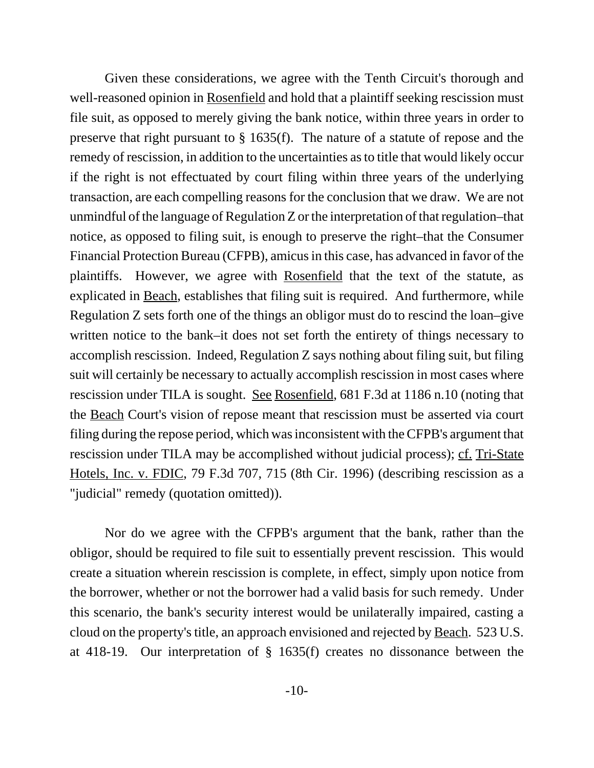Given these considerations, we agree with the Tenth Circuit's thorough and well-reasoned opinion in Rosenfield and hold that a plaintiff seeking rescission must file suit, as opposed to merely giving the bank notice, within three years in order to preserve that right pursuant to § 1635(f). The nature of a statute of repose and the remedy of rescission, in addition to the uncertainties as to title that would likely occur if the right is not effectuated by court filing within three years of the underlying transaction, are each compelling reasons for the conclusion that we draw. We are not unmindful of the language of Regulation Z or the interpretation of that regulation–that notice, as opposed to filing suit, is enough to preserve the right–that the Consumer Financial Protection Bureau (CFPB), amicus in this case, has advanced in favor of the plaintiffs. However, we agree with Rosenfield that the text of the statute, as explicated in Beach, establishes that filing suit is required. And furthermore, while Regulation Z sets forth one of the things an obligor must do to rescind the loan–give written notice to the bank–it does not set forth the entirety of things necessary to accomplish rescission. Indeed, Regulation Z says nothing about filing suit, but filing suit will certainly be necessary to actually accomplish rescission in most cases where rescission under TILA is sought. See Rosenfield, 681 F.3d at 1186 n.10 (noting that the Beach Court's vision of repose meant that rescission must be asserted via court filing during the repose period, which was inconsistent with the CFPB's argument that rescission under TILA may be accomplished without judicial process); cf. Tri-State Hotels, Inc. v. FDIC, 79 F.3d 707, 715 (8th Cir. 1996) (describing rescission as a "judicial" remedy (quotation omitted)).

Nor do we agree with the CFPB's argument that the bank, rather than the obligor, should be required to file suit to essentially prevent rescission. This would create a situation wherein rescission is complete, in effect, simply upon notice from the borrower, whether or not the borrower had a valid basis for such remedy. Under this scenario, the bank's security interest would be unilaterally impaired, casting a cloud on the property's title, an approach envisioned and rejected by Beach. 523 U.S. at 418-19. Our interpretation of § 1635(f) creates no dissonance between the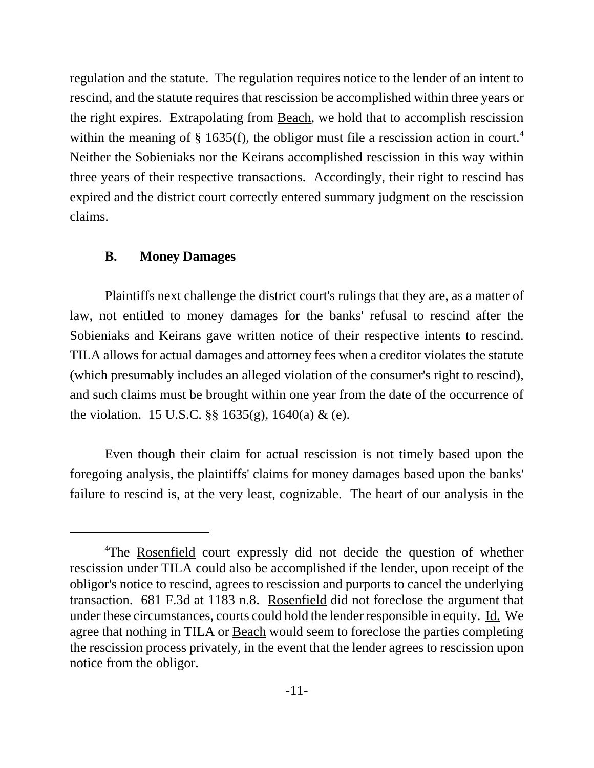regulation and the statute. The regulation requires notice to the lender of an intent to rescind, and the statute requires that rescission be accomplished within three years or the right expires. Extrapolating from Beach, we hold that to accomplish rescission within the meaning of  $\S$  1635(f), the obligor must file a rescission action in court.<sup>4</sup> Neither the Sobieniaks nor the Keirans accomplished rescission in this way within three years of their respective transactions. Accordingly, their right to rescind has expired and the district court correctly entered summary judgment on the rescission claims.

# **B. Money Damages**

Plaintiffs next challenge the district court's rulings that they are, as a matter of law, not entitled to money damages for the banks' refusal to rescind after the Sobieniaks and Keirans gave written notice of their respective intents to rescind. TILA allows for actual damages and attorney fees when a creditor violates the statute (which presumably includes an alleged violation of the consumer's right to rescind), and such claims must be brought within one year from the date of the occurrence of the violation. 15 U.S.C. §§ 1635(g), 1640(a) & (e).

Even though their claim for actual rescission is not timely based upon the foregoing analysis, the plaintiffs' claims for money damages based upon the banks' failure to rescind is, at the very least, cognizable. The heart of our analysis in the

<sup>&</sup>lt;sup>4</sup>The Rosenfield court expressly did not decide the question of whether rescission under TILA could also be accomplished if the lender, upon receipt of the obligor's notice to rescind, agrees to rescission and purports to cancel the underlying transaction. 681 F.3d at 1183 n.8. Rosenfield did not foreclose the argument that under these circumstances, courts could hold the lender responsible in equity. Id. We agree that nothing in TILA or Beach would seem to foreclose the parties completing the rescission process privately, in the event that the lender agrees to rescission upon notice from the obligor.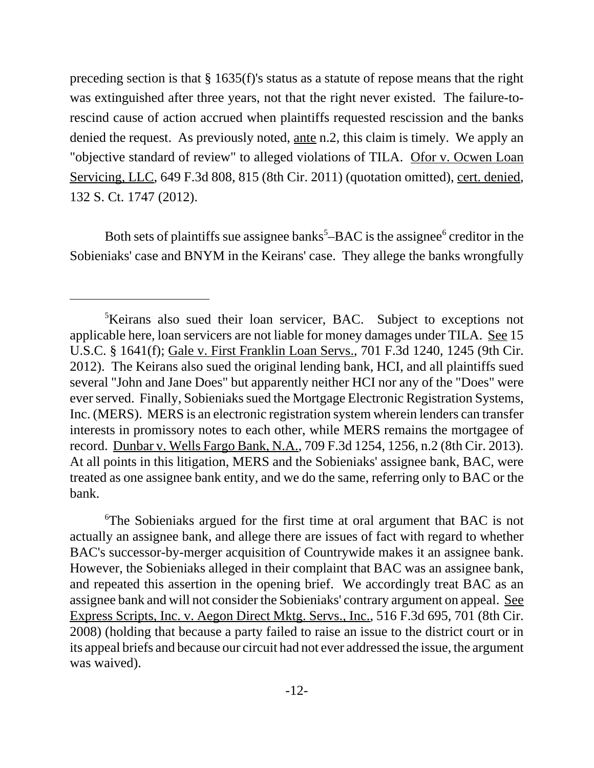preceding section is that § 1635(f)'s status as a statute of repose means that the right was extinguished after three years, not that the right never existed. The failure-torescind cause of action accrued when plaintiffs requested rescission and the banks denied the request. As previously noted, ante n.2, this claim is timely. We apply an "objective standard of review" to alleged violations of TILA. Ofor v. Ocwen Loan Servicing, LLC, 649 F.3d 808, 815 (8th Cir. 2011) (quotation omitted), cert. denied, 132 S. Ct. 1747 (2012).

Both sets of plaintiffs sue assignee banks<sup>5</sup> $-$ BAC is the assignee<sup>6</sup> creditor in the Sobieniaks' case and BNYM in the Keirans' case. They allege the banks wrongfully

<sup>&</sup>lt;sup>5</sup>Keirans also sued their loan servicer, BAC. Subject to exceptions not applicable here, loan servicers are not liable for money damages under TILA. See 15 U.S.C. § 1641(f); Gale v. First Franklin Loan Servs., 701 F.3d 1240, 1245 (9th Cir. 2012). The Keirans also sued the original lending bank, HCI, and all plaintiffs sued several "John and Jane Does" but apparently neither HCI nor any of the "Does" were ever served. Finally, Sobieniaks sued the Mortgage Electronic Registration Systems, Inc. (MERS). MERS is an electronic registration system wherein lenders can transfer interests in promissory notes to each other, while MERS remains the mortgagee of record. Dunbar v. Wells Fargo Bank, N.A., 709 F.3d 1254, 1256, n.2 (8th Cir. 2013). At all points in this litigation, MERS and the Sobieniaks' assignee bank, BAC, were treated as one assignee bank entity, and we do the same, referring only to BAC or the bank.

<sup>&</sup>lt;sup>6</sup>The Sobieniaks argued for the first time at oral argument that BAC is not actually an assignee bank, and allege there are issues of fact with regard to whether BAC's successor-by-merger acquisition of Countrywide makes it an assignee bank. However, the Sobieniaks alleged in their complaint that BAC was an assignee bank, and repeated this assertion in the opening brief. We accordingly treat BAC as an assignee bank and will not consider the Sobieniaks' contrary argument on appeal. See Express Scripts, Inc. v. Aegon Direct Mktg. Servs., Inc., 516 F.3d 695, 701 (8th Cir. 2008) (holding that because a party failed to raise an issue to the district court or in its appeal briefs and because our circuit had not ever addressed the issue, the argument was waived).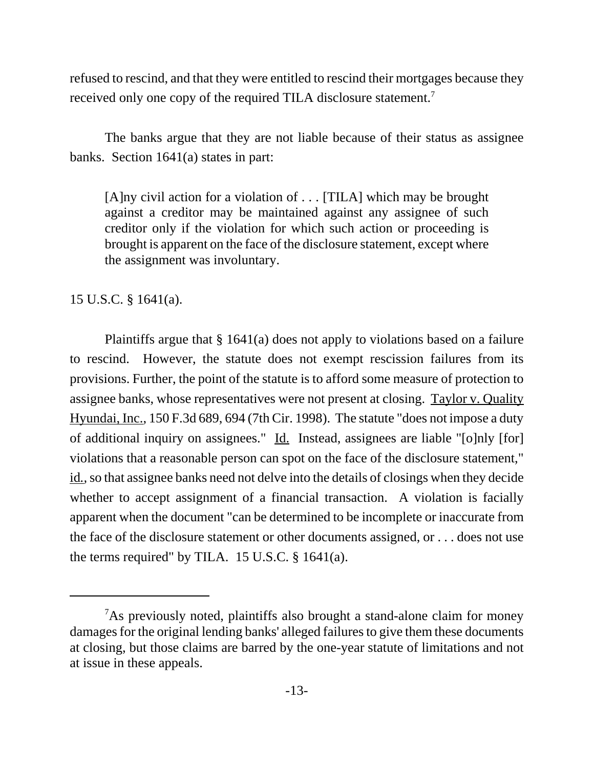refused to rescind, and that they were entitled to rescind their mortgages because they received only one copy of the required TILA disclosure statement.<sup>7</sup>

The banks argue that they are not liable because of their status as assignee banks. Section 1641(a) states in part:

[A]ny civil action for a violation of . . . [TILA] which may be brought against a creditor may be maintained against any assignee of such creditor only if the violation for which such action or proceeding is brought is apparent on the face of the disclosure statement, except where the assignment was involuntary.

15 U.S.C. § 1641(a).

Plaintiffs argue that § 1641(a) does not apply to violations based on a failure to rescind. However, the statute does not exempt rescission failures from its provisions. Further, the point of the statute is to afford some measure of protection to assignee banks, whose representatives were not present at closing. Taylor v. Quality Hyundai, Inc., 150 F.3d 689, 694 (7th Cir. 1998). The statute "does not impose a duty of additional inquiry on assignees." Id. Instead, assignees are liable "[o]nly [for] violations that a reasonable person can spot on the face of the disclosure statement," id*.,* so that assignee banks need not delve into the details of closings when they decide whether to accept assignment of a financial transaction. A violation is facially apparent when the document "can be determined to be incomplete or inaccurate from the face of the disclosure statement or other documents assigned, or . . . does not use the terms required" by TILA. 15 U.S.C. § 1641(a).

<sup>&</sup>lt;sup>7</sup>As previously noted, plaintiffs also brought a stand-alone claim for money damages for the original lending banks' alleged failures to give them these documents at closing, but those claims are barred by the one-year statute of limitations and not at issue in these appeals.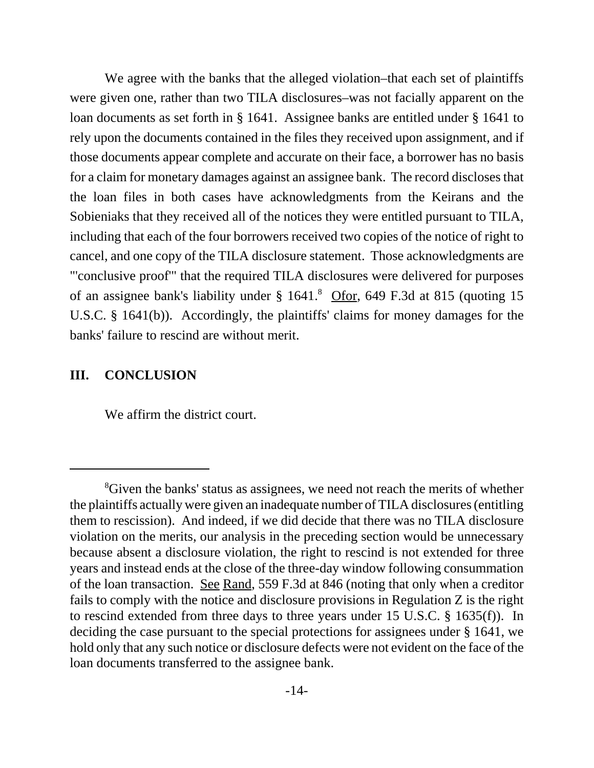We agree with the banks that the alleged violation–that each set of plaintiffs were given one, rather than two TILA disclosures–was not facially apparent on the loan documents as set forth in § 1641. Assignee banks are entitled under § 1641 to rely upon the documents contained in the files they received upon assignment, and if those documents appear complete and accurate on their face, a borrower has no basis for a claim for monetary damages against an assignee bank. The record discloses that the loan files in both cases have acknowledgments from the Keirans and the Sobieniaks that they received all of the notices they were entitled pursuant to TILA, including that each of the four borrowers received two copies of the notice of right to cancel, and one copy of the TILA disclosure statement. Those acknowledgments are "'conclusive proof'" that the required TILA disclosures were delivered for purposes of an assignee bank's liability under § 1641.<sup>8</sup> Ofor, 649 F.3d at 815 (quoting 15 U.S.C. § 1641(b)). Accordingly, the plaintiffs' claims for money damages for the banks' failure to rescind are without merit.

# **III. CONCLUSION**

We affirm the district court.

<sup>&</sup>lt;sup>8</sup>Given the banks' status as assignees, we need not reach the merits of whether the plaintiffs actually were given an inadequate number of TILA disclosures (entitling them to rescission). And indeed, if we did decide that there was no TILA disclosure violation on the merits, our analysis in the preceding section would be unnecessary because absent a disclosure violation, the right to rescind is not extended for three years and instead ends at the close of the three-day window following consummation of the loan transaction. See Rand, 559 F.3d at 846 (noting that only when a creditor fails to comply with the notice and disclosure provisions in Regulation Z is the right to rescind extended from three days to three years under 15 U.S.C. § 1635(f)). In deciding the case pursuant to the special protections for assignees under § 1641, we hold only that any such notice or disclosure defects were not evident on the face of the loan documents transferred to the assignee bank.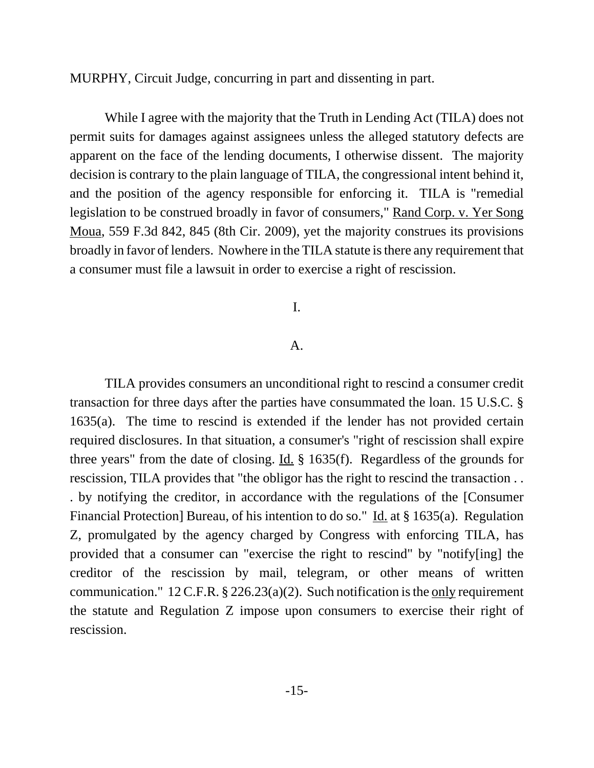MURPHY, Circuit Judge, concurring in part and dissenting in part.

While I agree with the majority that the Truth in Lending Act (TILA) does not permit suits for damages against assignees unless the alleged statutory defects are apparent on the face of the lending documents, I otherwise dissent. The majority decision is contrary to the plain language of TILA, the congressional intent behind it, and the position of the agency responsible for enforcing it. TILA is "remedial legislation to be construed broadly in favor of consumers," Rand Corp. v. Yer Song Moua, 559 F.3d 842, 845 (8th Cir. 2009), yet the majority construes its provisions broadly in favor of lenders. Nowhere in the TILA statute is there any requirement that a consumer must file a lawsuit in order to exercise a right of rescission.

#### I.

#### A.

TILA provides consumers an unconditional right to rescind a consumer credit transaction for three days after the parties have consummated the loan. 15 U.S.C. § 1635(a). The time to rescind is extended if the lender has not provided certain required disclosures. In that situation, a consumer's "right of rescission shall expire three years" from the date of closing. Id. § 1635(f). Regardless of the grounds for rescission, TILA provides that "the obligor has the right to rescind the transaction . . . by notifying the creditor, in accordance with the regulations of the [Consumer Financial Protection] Bureau, of his intention to do so." Id. at § 1635(a). Regulation Z, promulgated by the agency charged by Congress with enforcing TILA, has provided that a consumer can "exercise the right to rescind" by "notify[ing] the creditor of the rescission by mail, telegram, or other means of written communication."  $12$  C.F.R. § 226.23(a)(2). Such notification is the only requirement the statute and Regulation Z impose upon consumers to exercise their right of rescission.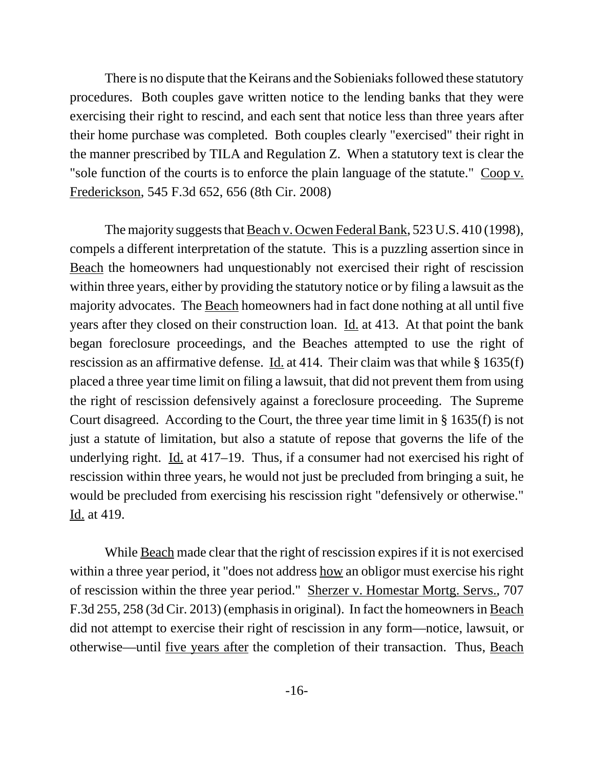There is no dispute that the Keirans and the Sobieniaks followed these statutory procedures. Both couples gave written notice to the lending banks that they were exercising their right to rescind, and each sent that notice less than three years after their home purchase was completed. Both couples clearly "exercised" their right in the manner prescribed by TILA and Regulation Z. When a statutory text is clear the "sole function of the courts is to enforce the plain language of the statute." Coop v. Frederickson, 545 F.3d 652, 656 (8th Cir. 2008)

The majority suggests that Beach v. Ocwen Federal Bank, 523 U.S. 410 (1998), compels a different interpretation of the statute. This is a puzzling assertion since in Beach the homeowners had unquestionably not exercised their right of rescission within three years, either by providing the statutory notice or by filing a lawsuit as the majority advocates. The Beach homeowners had in fact done nothing at all until five years after they closed on their construction loan. Id. at 413. At that point the bank began foreclosure proceedings, and the Beaches attempted to use the right of rescission as an affirmative defense. Id. at 414. Their claim was that while § 1635(f) placed a three year time limit on filing a lawsuit, that did not prevent them from using the right of rescission defensively against a foreclosure proceeding. The Supreme Court disagreed. According to the Court, the three year time limit in § 1635(f) is not just a statute of limitation, but also a statute of repose that governs the life of the underlying right. Id. at  $417-19$ . Thus, if a consumer had not exercised his right of rescission within three years, he would not just be precluded from bringing a suit, he would be precluded from exercising his rescission right "defensively or otherwise." Id. at 419.

While <u>Beach</u> made clear that the right of rescission expires if it is not exercised within a three year period, it "does not address how an obligor must exercise his right of rescission within the three year period." Sherzer v. Homestar Mortg. Servs., 707 F.3d 255, 258 (3d Cir. 2013) (emphasis in original). In fact the homeowners in Beach did not attempt to exercise their right of rescission in any form—notice, lawsuit, or otherwise—until five years after the completion of their transaction. Thus, Beach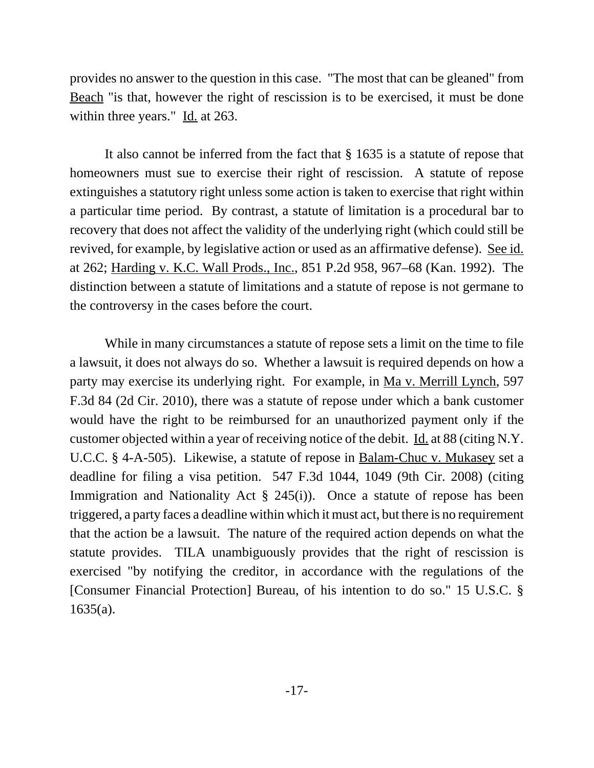provides no answer to the question in this case. "The most that can be gleaned" from Beach "is that, however the right of rescission is to be exercised, it must be done within three years." Id. at 263.

It also cannot be inferred from the fact that § 1635 is a statute of repose that homeowners must sue to exercise their right of rescission. A statute of repose extinguishes a statutory right unless some action is taken to exercise that right within a particular time period. By contrast, a statute of limitation is a procedural bar to recovery that does not affect the validity of the underlying right (which could still be revived, for example, by legislative action or used as an affirmative defense). See id. at 262; Harding v. K.C. Wall Prods., Inc., 851 P.2d 958, 967–68 (Kan. 1992). The distinction between a statute of limitations and a statute of repose is not germane to the controversy in the cases before the court.

While in many circumstances a statute of repose sets a limit on the time to file a lawsuit, it does not always do so. Whether a lawsuit is required depends on how a party may exercise its underlying right. For example, in Ma v. Merrill Lynch, 597 F.3d 84 (2d Cir. 2010), there was a statute of repose under which a bank customer would have the right to be reimbursed for an unauthorized payment only if the customer objected within a year of receiving notice of the debit. Id. at 88 (citing N.Y. U.C.C. § 4-A-505). Likewise, a statute of repose in Balam-Chuc v. Mukasey set a deadline for filing a visa petition. 547 F.3d 1044, 1049 (9th Cir. 2008) (citing Immigration and Nationality Act  $\S$  245(i)). Once a statute of repose has been triggered, a party faces a deadline within which it must act, but there is no requirement that the action be a lawsuit. The nature of the required action depends on what the statute provides. TILA unambiguously provides that the right of rescission is exercised "by notifying the creditor, in accordance with the regulations of the [Consumer Financial Protection] Bureau, of his intention to do so." 15 U.S.C. §  $1635(a)$ .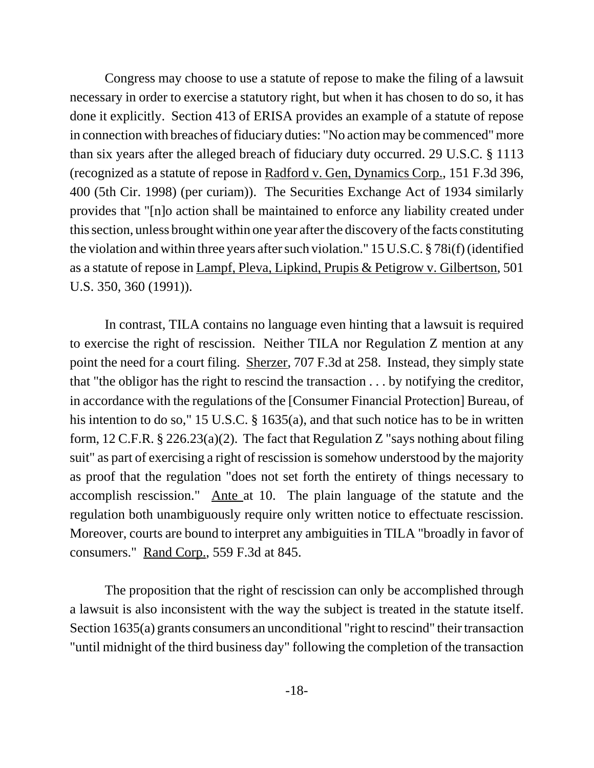Congress may choose to use a statute of repose to make the filing of a lawsuit necessary in order to exercise a statutory right, but when it has chosen to do so, it has done it explicitly. Section 413 of ERISA provides an example of a statute of repose in connection with breaches of fiduciary duties: "No action may be commenced" more than six years after the alleged breach of fiduciary duty occurred. 29 U.S.C. § 1113 (recognized as a statute of repose in Radford v. Gen, Dynamics Corp., 151 F.3d 396, 400 (5th Cir. 1998) (per curiam)). The Securities Exchange Act of 1934 similarly provides that "[n]o action shall be maintained to enforce any liability created under this section, unless brought within one year after the discovery of the facts constituting the violation and within three years after such violation." 15 U.S.C. § 78i(f) (identified as a statute of repose in Lampf, Pleva, Lipkind, Prupis & Petigrow v. Gilbertson, 501 U.S. 350, 360 (1991)).

In contrast, TILA contains no language even hinting that a lawsuit is required to exercise the right of rescission. Neither TILA nor Regulation Z mention at any point the need for a court filing. Sherzer, 707 F.3d at 258. Instead, they simply state that "the obligor has the right to rescind the transaction . . . by notifying the creditor, in accordance with the regulations of the [Consumer Financial Protection] Bureau, of his intention to do so," 15 U.S.C. § 1635(a), and that such notice has to be in written form,  $12$  C.F.R. §  $226.23(a)(2)$ . The fact that Regulation Z "says nothing about filing suit" as part of exercising a right of rescission is somehow understood by the majority as proof that the regulation "does not set forth the entirety of things necessary to accomplish rescission." Ante at 10. The plain language of the statute and the regulation both unambiguously require only written notice to effectuate rescission. Moreover, courts are bound to interpret any ambiguities in TILA "broadly in favor of consumers." Rand Corp., 559 F.3d at 845.

The proposition that the right of rescission can only be accomplished through a lawsuit is also inconsistent with the way the subject is treated in the statute itself. Section 1635(a) grants consumers an unconditional "right to rescind" their transaction "until midnight of the third business day" following the completion of the transaction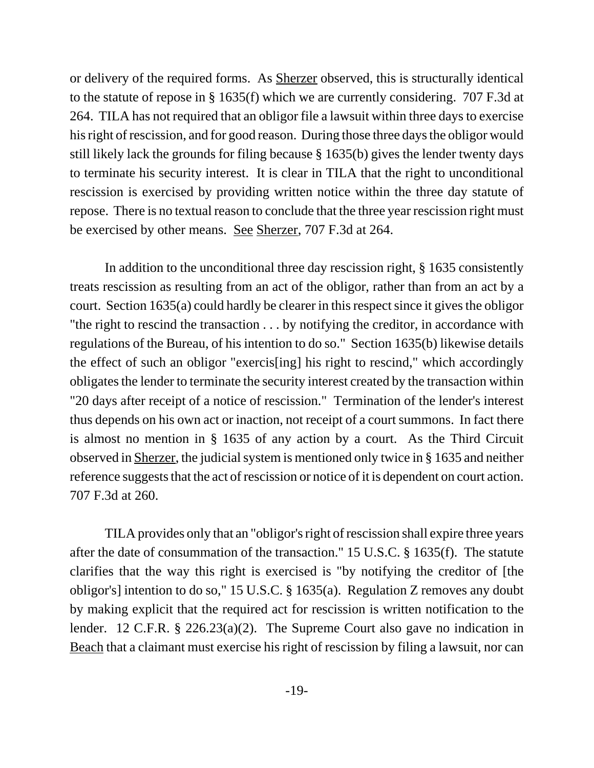or delivery of the required forms. As Sherzer observed, this is structurally identical to the statute of repose in § 1635(f) which we are currently considering. 707 F.3d at 264. TILA has not required that an obligor file a lawsuit within three days to exercise his right of rescission, and for good reason. During those three days the obligor would still likely lack the grounds for filing because § 1635(b) gives the lender twenty days to terminate his security interest. It is clear in TILA that the right to unconditional rescission is exercised by providing written notice within the three day statute of repose. There is no textual reason to conclude that the three year rescission right must be exercised by other means. See Sherzer, 707 F.3d at 264.

In addition to the unconditional three day rescission right, § 1635 consistently treats rescission as resulting from an act of the obligor, rather than from an act by a court. Section 1635(a) could hardly be clearer in this respect since it gives the obligor "the right to rescind the transaction . . . by notifying the creditor, in accordance with regulations of the Bureau, of his intention to do so." Section 1635(b) likewise details the effect of such an obligor "exercis[ing] his right to rescind," which accordingly obligates the lender to terminate the security interest created by the transaction within "20 days after receipt of a notice of rescission." Termination of the lender's interest thus depends on his own act or inaction, not receipt of a court summons. In fact there is almost no mention in § 1635 of any action by a court. As the Third Circuit observed in Sherzer, the judicial system is mentioned only twice in § 1635 and neither reference suggests that the act of rescission or notice of it is dependent on court action. 707 F.3d at 260.

TILA provides only that an "obligor's right of rescission shall expire three years after the date of consummation of the transaction." 15 U.S.C. § 1635(f). The statute clarifies that the way this right is exercised is "by notifying the creditor of [the obligor's] intention to do so," 15 U.S.C. § 1635(a). Regulation Z removes any doubt by making explicit that the required act for rescission is written notification to the lender. 12 C.F.R. § 226.23(a)(2). The Supreme Court also gave no indication in Beach that a claimant must exercise his right of rescission by filing a lawsuit, nor can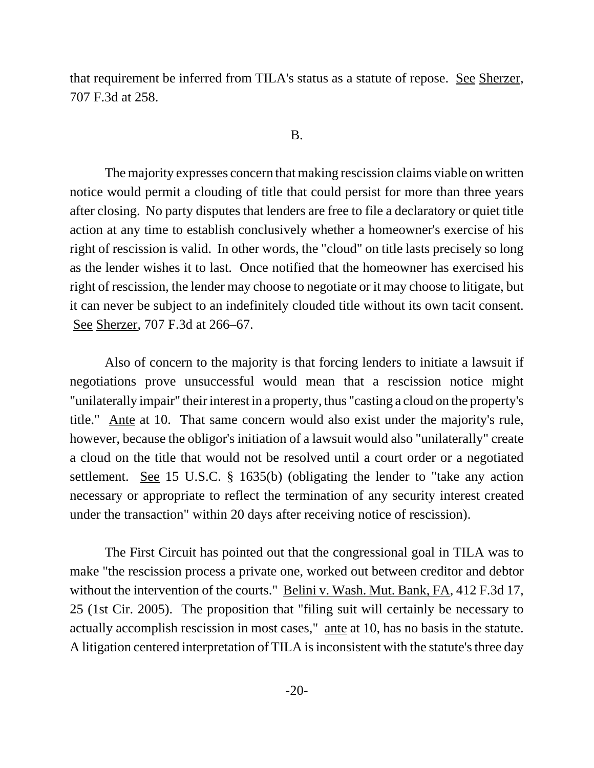that requirement be inferred from TILA's status as a statute of repose. See Sherzer, 707 F.3d at 258.

#### B.

The majority expresses concern that making rescission claims viable on written notice would permit a clouding of title that could persist for more than three years after closing. No party disputes that lenders are free to file a declaratory or quiet title action at any time to establish conclusively whether a homeowner's exercise of his right of rescission is valid. In other words, the "cloud" on title lasts precisely so long as the lender wishes it to last. Once notified that the homeowner has exercised his right of rescission, the lender may choose to negotiate or it may choose to litigate, but it can never be subject to an indefinitely clouded title without its own tacit consent. See Sherzer, 707 F.3d at 266–67.

Also of concern to the majority is that forcing lenders to initiate a lawsuit if negotiations prove unsuccessful would mean that a rescission notice might "unilaterally impair" their interest in a property, thus "casting a cloud on the property's title." Ante at 10. That same concern would also exist under the majority's rule, however, because the obligor's initiation of a lawsuit would also "unilaterally" create a cloud on the title that would not be resolved until a court order or a negotiated settlement. <u>See</u> 15 U.S.C. § 1635(b) (obligating the lender to "take any action necessary or appropriate to reflect the termination of any security interest created under the transaction" within 20 days after receiving notice of rescission).

The First Circuit has pointed out that the congressional goal in TILA was to make "the rescission process a private one, worked out between creditor and debtor without the intervention of the courts." Belini v. Wash. Mut. Bank, FA, 412 F.3d 17, 25 (1st Cir. 2005). The proposition that "filing suit will certainly be necessary to actually accomplish rescission in most cases," ante at 10, has no basis in the statute. A litigation centered interpretation of TILA is inconsistent with the statute's three day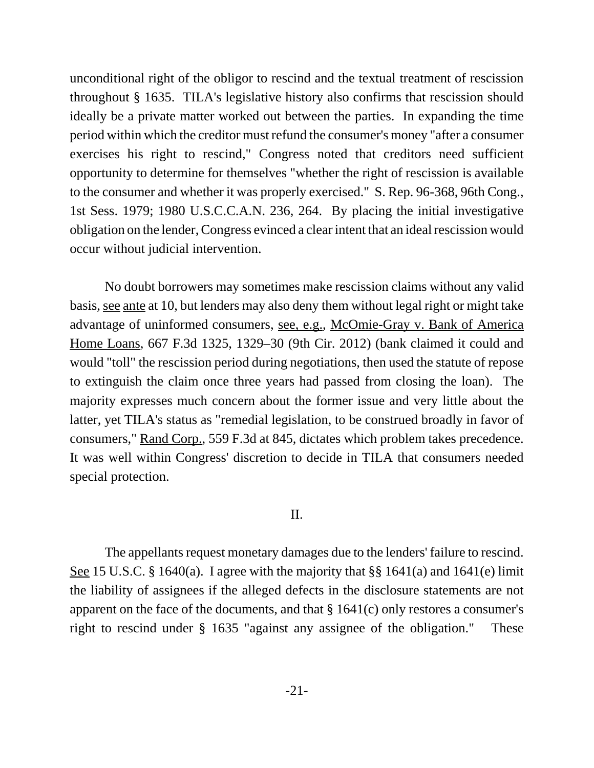unconditional right of the obligor to rescind and the textual treatment of rescission throughout § 1635. TILA's legislative history also confirms that rescission should ideally be a private matter worked out between the parties. In expanding the time period within which the creditor must refund the consumer's money "after a consumer exercises his right to rescind," Congress noted that creditors need sufficient opportunity to determine for themselves "whether the right of rescission is available to the consumer and whether it was properly exercised." S. Rep. 96-368, 96th Cong., 1st Sess. 1979; 1980 U.S.C.C.A.N. 236, 264. By placing the initial investigative obligation on the lender, Congress evinced a clear intent that an ideal rescission would occur without judicial intervention.

No doubt borrowers may sometimes make rescission claims without any valid basis, see ante at 10, but lenders may also deny them without legal right or might take advantage of uninformed consumers, see, e.g., McOmie-Gray v. Bank of America Home Loans, 667 F.3d 1325, 1329–30 (9th Cir. 2012) (bank claimed it could and would "toll" the rescission period during negotiations, then used the statute of repose to extinguish the claim once three years had passed from closing the loan). The majority expresses much concern about the former issue and very little about the latter, yet TILA's status as "remedial legislation, to be construed broadly in favor of consumers," Rand Corp., 559 F.3d at 845, dictates which problem takes precedence. It was well within Congress' discretion to decide in TILA that consumers needed special protection.

#### II.

The appellants request monetary damages due to the lenders' failure to rescind. See 15 U.S.C. § 1640(a). I agree with the majority that §§ 1641(a) and 1641(e) limit the liability of assignees if the alleged defects in the disclosure statements are not apparent on the face of the documents, and that § 1641(c) only restores a consumer's right to rescind under § 1635 "against any assignee of the obligation." These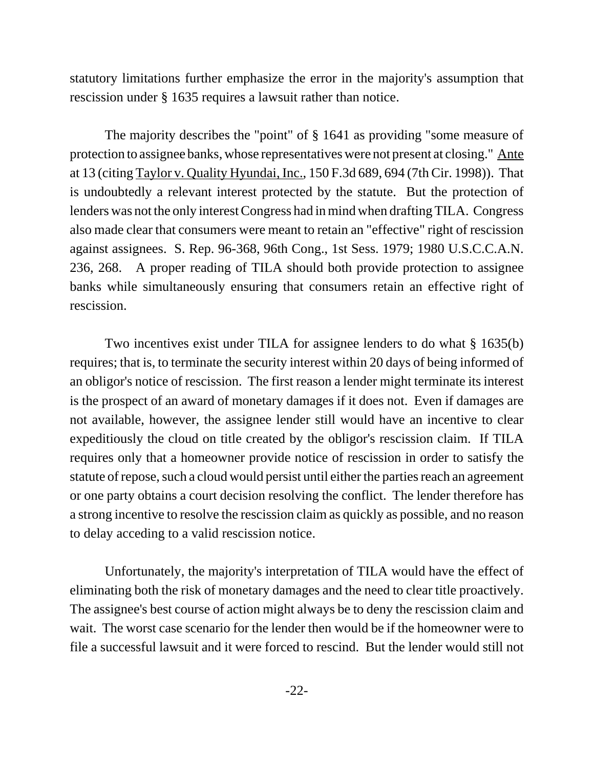statutory limitations further emphasize the error in the majority's assumption that rescission under § 1635 requires a lawsuit rather than notice.

The majority describes the "point" of § 1641 as providing "some measure of protection to assignee banks, whose representatives were not present at closing." Ante at 13 (citing Taylor v. Quality Hyundai, Inc., 150 F.3d 689, 694 (7th Cir. 1998)). That is undoubtedly a relevant interest protected by the statute. But the protection of lenders was not the only interest Congress had in mind when drafting TILA. Congress also made clear that consumers were meant to retain an "effective" right of rescission against assignees. S. Rep. 96-368, 96th Cong., 1st Sess. 1979; 1980 U.S.C.C.A.N. 236, 268. A proper reading of TILA should both provide protection to assignee banks while simultaneously ensuring that consumers retain an effective right of rescission.

Two incentives exist under TILA for assignee lenders to do what § 1635(b) requires; that is, to terminate the security interest within 20 days of being informed of an obligor's notice of rescission. The first reason a lender might terminate its interest is the prospect of an award of monetary damages if it does not. Even if damages are not available, however, the assignee lender still would have an incentive to clear expeditiously the cloud on title created by the obligor's rescission claim. If TILA requires only that a homeowner provide notice of rescission in order to satisfy the statute of repose, such a cloud would persist until either the parties reach an agreement or one party obtains a court decision resolving the conflict. The lender therefore has a strong incentive to resolve the rescission claim as quickly as possible, and no reason to delay acceding to a valid rescission notice.

Unfortunately, the majority's interpretation of TILA would have the effect of eliminating both the risk of monetary damages and the need to clear title proactively. The assignee's best course of action might always be to deny the rescission claim and wait. The worst case scenario for the lender then would be if the homeowner were to file a successful lawsuit and it were forced to rescind. But the lender would still not